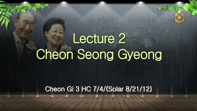# Lecture 2 Cheon Seong Gyeong

# Cheon Gi 3 HC 7/4/(Solar 8/21/12)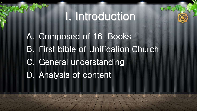# I. Introduction

A. Composed of 16 Books B. First bible of Unification Church C. General understanding D. Analysis of content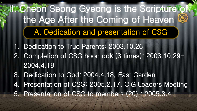- 1. Dedication to True Parents: 2003.10.26
- 2. Completion of CSG hoon dok (3 times): 2003.10.29- 2004.4.18
- 3. Dedication to God: 2004.4.18, East Garden 4. Presentation of CSG: 2005.2.17, CIG Leaders Meeting 5. Presentation of CSG to members (20) : 2005.3.4

# II. Cheon Seong Gyeong is the Scripture of the Age After the Coming of Heaven A. Dedication and presentation of CSG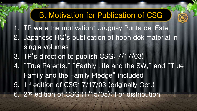- 1. TP were the motivation: Uruguay Punta del Este
- 2. Japanese HQ's publication of hoon dok material in single volumes
- 3. TP's direction to publish CSG: 7/17/03)
- 4. "True Parents," "Earthly Life and the SW," and "True Family and the Family Pledge" included 5. 1 st edition of CSG: 7/17/03 (originally Oct.)
- 6. 2 nd edition of CSG (1/15/05): For distribution



# B. Motivation for Publication of CSG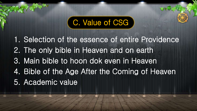1. Selection of the essence of entire Providence 2. The only bible in Heaven and on earth 3. Main bible to hoon dok even in Heaven 4. Bible of the Age After the Coming of Heaven 5. Academic value

# C. Value of CSG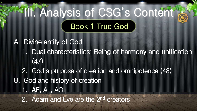# **III. Analysis of CSG's Content"** Book 1 True God

A. Divine entity of God 1. Dual characteristics: Being of harmony and unification (47) 2. God's purpose of creation and omnipotence (48) B. God and history of creation 1. AF, AL, AO 2. Adam and Eve are the 2nd creators

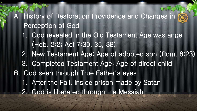A. History of Restoration Providence and Changes in Perception of God 1. God revealed in the Old Testament Age was angel (Heb. 2:2; Act 7:30, 35, 38) 2. New Testament Age: Age of adopted son (Rom. 8:23) 3. Completed Testament Age: Age of direct child B. God seen through True Father's eyes 1. After the Fall, inside prison made by Satan 2. God is liberated through the Messiah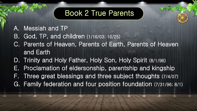- A. Messiah and TP
- B. God, TP, and children (1/16/03; 10/25)
- C. Parents of Heaven, Parents of Earth, Parents of Heaven and Earth
- D. Trinity and Holy Father, Holy Son, Holy Spirit (8/1/96)
- E. Proclamation of eldersonship, parentship and kingship
- F. Three great blessings and three subject thoughts (7/4/07)
- G. Family federation and four position foundation (7/31/96; 8/1)

## Book 2 True Parents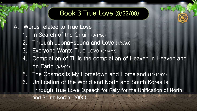- A. Words related to True Love
	- 1. In Search of the Origin (8/1/96)
	- 2. Through Jeong-seong and Love (1/5/99)
	- 3. Everyone Wants True Love (3/14/99)
	- 4. Completion of TL is the completion of Heaven in Heaven and on Earth (9/5/99)
	- 5. The Cosmos is My Hometown and Homeland (12/19/99)
	- 6. Unification of the World and North and South Korea is Through True Love (speech for Rally for the Unification of North and South Korea, 2000)



### **a** Book 3 True Love (9/22/09)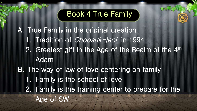A. True Family in the original creation 1. Tradition of Choosuk-jeol in 1994 2. Greatest gift in the Age of the Realm of the 4<sup>th</sup> Adam

B. The way of law of love centering on family 1. Family is the school of love 2. Family is the training center to prepare for the Age of SW



### Book 4 True Family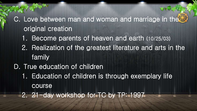### C. Love between man and woman and marriage in the  $\mathbb Z$ original creation

- 1. Become parents of heaven and earth (10/25/03)
- 2. Realization of the greatest literature and arts in the family
- D. True education of children
	- 1. Education of children is through exemplary life course
	- 2. 21-day workshop for TC by TP: 1997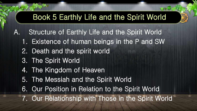- A. Structure of Earthly Life and the Spirit World
	- 1. Existence of human beings in the P and SW
	- 2. Death and the spirit world
	- 3. The Spirit World
	- 4. The Kingdom of Heaven
	- 5. The Messiah and the Spirit World
	- 6. Our Position in Relation to the Spirit World
	- 7. Our Relationship with Those in the Spirit World



# Book 5 Earthly Life and the Spirit World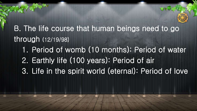B. The life course that human beings need to go through (12/19/98) 1. Period of womb (10 months): Period of water 2. Earthly life (100 years): Period of air 3. Life in the spirit world (eternal): Period of love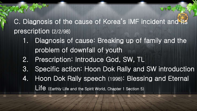C. Diagnosis of the cause of Korea's IMF incident and its prescription (2/2/98)

- 1. Diagnosis of cause: Breaking up of family and the problem of downfall of youth
- 2. Prescription: Introduce God, SW, TL
- 3. Specific action: Hoon Dok Rally and SW introduction
- 4. Hoon Dok Rally speech (1998): Blessing and Eternal

Life (Earthly Life and the Spirit World, Chapter 1 Section 5)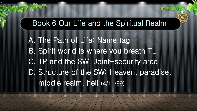A. The Path of Life: Name tag B. Spirit world is where you breath TL C. TP and the SW: Joint-security area D. Structure of the SW: Heaven, paradise, middle realm, hell (4/11/99)

### Book 6 Our Life and the Spiritual Realm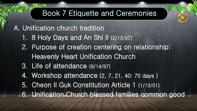A. Unification church tradition

- 1. 8 Holy Days and An Shi Il (2/13/97)
- 2. Purpose of creation centering on relationship: Heavenly Heart Unification Church
- 3. Life of attendance (9/14/97)
- 4. Workshop attendance (2, 7, 21, 40: 70 days )
- 5. Cheon Il Guk Constitution Article 1 (1/13/01)
- 6. Unification Church blessed families common good



## Book 7 Etiquette and Ceremonies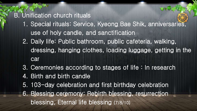### B. Unification church rituals

- 1. Special rituals: Service, Kyeong Bae Shik, anniversaries, use of holy candle, and sanctification
	- 2. Daily life: Public bathroom, public cafeteria, walking, dressing, hanging clothes, loading luggage, getting in the car
- 3. Ceremonies according to stages of life : In research
- 4. Birth and birth candle
- 5. 103-day celebration and first birthday celebration
- 6. Blessing ceremony: Rebirth blessing, resurrection blessing, Eternal life blessing (7/8/10)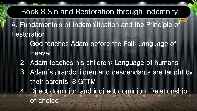- A. Fundamentals of Indemnification and the Principle of **Restoration** 
	- 1. God teaches Adam before the Fall: Language of Heaven
	- 2. Adam teaches his children: Language of humans
	- 3. Adam's grandchildren and descendants are taught by their parents: 8 GTTM
	- 4. Direct dominion and indirect dominion: Relationship of choice

# Book 8 Sin and Restoration through Indemnity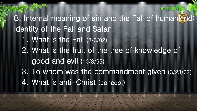B. Internal meaning of sin and the Fall of humankind: Identity of the Fall and Satan 1. What is the Fall (3/3/02) 2. What is the fruit of the tree of knowledge of good and evil (10/3/99) 3. To whom was the commandment given (3/23/02) 4. What is anti-Christ (concept)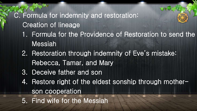## C. Formula for indemnity and restoration: Creation of lineage 1. Formula for the Providence of Restoration to send the Messiah

- 2. Restoration through indemnity of Eve's mistake: Rebecca, Tamar, and Mary
- 3. Deceive father and son
- 4. Restore right of the eldest sonship through motherson cooperation
- 5. Find wife for the Messiah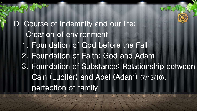D. Course of indemnity and our life: Creation of environment 1. Foundation of God before the Fall 2. Foundation of Faith: God and Adam 3. Foundation of Substance: Relationship between Cain (Lucifer) and Abel (Adam) (7/13/10), perfection of family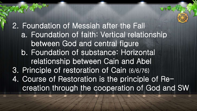2. Foundation of Messiah after the Fall a. Foundation of faith: Vertical relationship between God and central figure b. Foundation of substance: Horizontal relationship between Cain and Abel 3. Principle of restoration of Cain (6/6/76) 4. Course of Restoration is the principle of Recreation through the cooperation of God and SW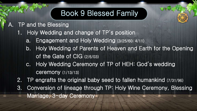### A. TP and the Blessing

- 1. Holy Wedding and change of TP's position
	- a. Engagement and Holy Wedding (3/25/60; 4/11)
	- b. Holy Wedding of Parents of Heaven and Earth for the Opening of the Gate of CIG (2/6/03)
	- c. Holy Wedding Ceremony of TP of HEH: God's wedding ceremony (1/13/13)
- 2. TP engrafts the original baby seed to fallen humankind (7/31/96)
- 3. Conversion of lineage through TP: Holy Wine Ceremony, Blessing Marriage, 3-day Ceremony

# Book 9 Blessed Family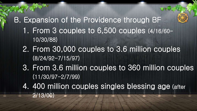B. Expansion of the Providence through BF 1. From 3 couples to 6,500 couples (4/16/60- 10/30/88) 2. From 30,000 couples to 3.6 million couples (8/24/92-7/15/97) 3. From 3.6 million couples to 360 million couples (11/30/97-2/7/99) 4. 400 million couples singles blessing age (after 2/13/00)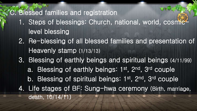### C. Blessed families and registration

- 1. Steps of blessings: Church, national, world, cosmiclevel blessing
- 2. Re-blessing of all blessed families and presentation of Heavenly stamp (1/13/13)
- 3. Blessing of earthly beings and spiritual beings (4/11/99) a. Blessing of earthly beings: 1<sup>st</sup>, 2<sup>nd</sup>, 3<sup>rd</sup> couple b. Blessing of spiritual beings: 1<sup>st</sup>, 2<sup>nd</sup>, 3<sup>rd</sup> couple
- 4. Life stages of BF: Sung-hwa ceremony (Birth, marriage, death, 10/14/11)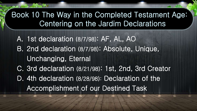A. 1st declaration (8/7/98): AF, AL, AO B. 2nd declaration (8/7/98): Absolute, Unique, Unchanging, Eternal C. 3rd declaration (8/21/98): 1st, 2nd, 3rd Creator D. 4th declaration (8/28/98): Declaration of the Accomplishment of our Destined Task

### Book 10 The Way in the Completed Testament Age: Centering on the Jardim Declarations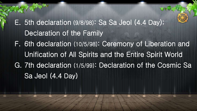E. 5th declaration (9/8/98): Sa Sa Jeol (4.4 Day); Declaration of the Family F. 6th declaration (10/5/98): Ceremony of Liberation and Unification of All Spirits and the Entire Spirit World G. 7th declaration (1/5/99): Declaration of the Cosmic Sa Sa Jeol (4.4 Day)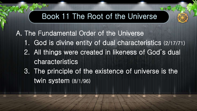A. The Fundamental Order of the Universe 1. God is divine entity of dual characteristics (2/17/71) 2. All things were created in likeness of God's dual characteristics 3. The principle of the existence of universe is the twin system (8/1/96)

### Book 11 The Root of the Universe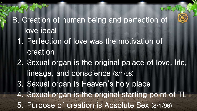B. Creation of human being and perfection of love ideal 1. Perfection of love was the motivation of creation 2. Sexual organ is the original palace of love, life, lineage, and conscience (8/1/96) 3. Sexual organ is Heaven's holy place 4. Sexual organ is the original starting point of TL 5. Purpose of creation is Absolute Sex (8/1/96)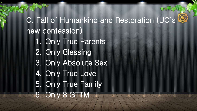C. Fall of Humankind and Restoration (UC's & new confession) 1. Only True Parents 2. Only Blessing 3. Only Absolute Sex 4. Only True Love 5. Only True Family 6. Only 8 GTTM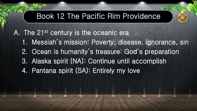A. The 21st century is the oceanic era

- 1. Messiah's mission: Poverty, disease, ignorance, sin
- 2. Ocean is humanity's treasure: God's preparation
- 3. Alaska spirit (NA): Continue until accomplish
- 4. Pantana spirit (SA): Entirely my love

### Book 12 The Pacific Rim Providence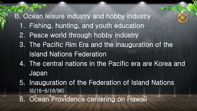# B. Ocean leisure industry and hobby industry 1. Fishing, hunting, and youth education 2. Peace world through hobby industry 3. The Pacific Rim Era and the inauguration of the Island Nations Federation 4. The central nations in the Pacific era are Korea and Japan

5. Inauguration of the Federation of Island Nations (6/16-6/18/96)

6. Ocean Providence centering on Hawaii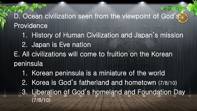### D. Ocean civilization seen from the viewpoint of God'ss Providence

- 1. History of Human Civilization and Japan's mission
- 2. Japan is Eve nation
- E. All civilizations will come to fruition on the Korean peninsula
	- 1. Korean peninsula is a miniature of the world
	- 2. Korea is God's fatherland and hometown (7/8/10)
	- 3. Liberation of God's homeland and Foundation Day (7/8/10)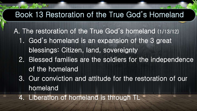- A. The restoration of the True God's homeland (1/13/12) 1. God's homeland is an expansion of the 3 great blessings: Citizen, land, sovereignty 2. Blessed families are the soldiers for the independence
	- of the homeland
	- 3. Our conviction and attitude for the restoration of our homeland

4. Liberation of homeland is through TL



# Book 13 Restoration of the True God's Homeland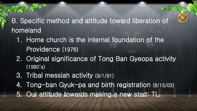### B. Specific method and attitude toward liberation of homeland

- 1. Home church is the internal foundation of the Providence (1978)
- 2. Original significance of Tong Ban Gyeopa activity (1980's)
- 3. Tribal messiah activity (9/1/91)
- 4. Tong-ban Gyuk-pa and birth registration (8/15/03)
- 5. Our attitude towards making a new start: TL

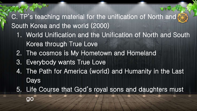C. TP's teaching material for the unification of North and South Korea and the world (2000)

- 1. World Unification and the Unification of North and South Korea through True Love
- 2. The cosmos is My Hometown and Homeland
- 3. Everybody wants True Love
- 4. The Path for America (world) and Humanity in the Last Days
- 5. Life Course that God's royal sons and daughters must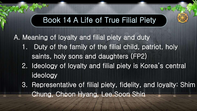A. Meaning of loyalty and filial piety and duty 1. Duty of the family of the filial child, patriot, holy saints, holy sons and daughters (FP2) 2. Ideology of loyalty and filial piety is Korea's central ideology 3. Representative of filial piety, fidelity, and loyalty: Shim Chung, Choon Hyang, Lee Soon Shin

### Book 14 A Life of True Filial Piety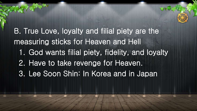B. True Love, loyalty and filial piety are the measuring sticks for Heaven and Hell 1. God wants filial piety, fidelity, and loyalty 2. Have to take revenge for Heaven. 3. Lee Soon Shin: In Korea and in Japan

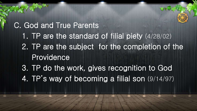C. God and True Parents 1. TP are the standard of filial piety (4/28/02) 2. TP are the subject for the completion of the Providence 3. TP do the work, gives recognition to God 4. TP's way of becoming a filial son (9/14/97)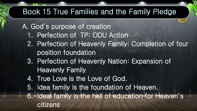A. God's purpose of creation 1. Perfection of TP: ODU Action 2. Perfection of Heavenly Family: Completion of four position foundation 3. Perfection of Heavenly Nation: Expansion of Heavenly Family 4. True Love is the Love of God. 5. Idea family is the foundation of Heaven. 6. Ideal family is the hall of education for Heaven's citizens

## Book 15 True Families and the Family Pledge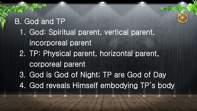B. God and TP 1. God: Spiritual parent, vertical parent, incorporeal parent 2. TP: Physical parent, horizontal parent, corporeal parent 3. God is God of Night; TP are God of Day 4. God reveals Himself embodying TP's body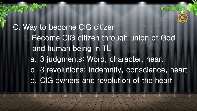C. Way to become CIG citizen 1. Become CIG citizen through union of God and human being in TL a. 3 judgments: Word, character, heart b. 3 revolutions: Indemnity, conscience, heart c. CIG owners and revolution of the heart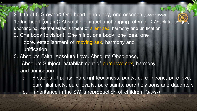2. Life of CIG owner: One heart, one body, one essence (5/3/98; 8/15/98) 1.One heart (origin): Absolute, uniquel unchanging, eternal : Absolute, unique, unchanging, eternal establishment of silent sex, harmony and unification 2. One body (division): One mind, one body, one idea, one core, establishment of moving sex, harmony and unification

- 3. Absolute Faith, Absolute Love, Absolute Obedience, Absolute Subject, establishment of pure love sex, harmony and unification
	- a. 8 stages of purity: Pure righteousness, purity, pure lineage, pure love, pure filial piety, pure loyalty, pure saints, pure holy sons and daughters b. Inheritance in the SW is reproduction of children (3/8/97)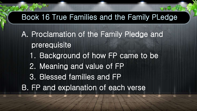A. Proclamation of the Family Pledge and prerequisite 1. Background of how FP came to be 2. Meaning and value of FP 3. Blessed families and FP B. FP and explanation of each verse

## Book 16 True Families and the Family PLedge